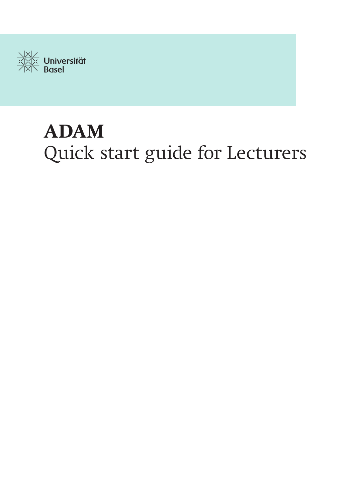

# **ADAM** Quick start guide for Lecturers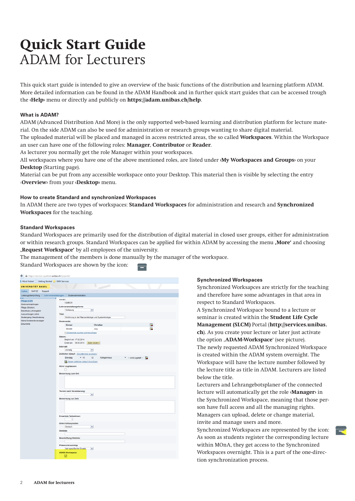# **Quick Start Guide**  ADAM for Lecturers

This quick start guide is intended to give an overview of the basic functions of the distribution and learning platform ADAM. More detailed information can be found in the ADAM Handbook and in further quick start guides that can be accessed trough the **‹Help›** menu or directly and publicly on **https://adam.unibas.ch/help**.

# **What is ADAM?**

ADAM (Advanced Distribution And More) is the only supported web-based learning and distribution platform for lecture material. On the side ADAM can also be used for administration or research groups wanting to share digital material.

The uploaded material will be placed and managed in access restricted areas, the so called **Workspaces**. Within the Workspace an user can have one of the following roles: **Manager**, **Contributor** or **Reader**.

As lecturer you normally get the role Manager within your workspaces.

All workspaces where you have one of the above mentioned roles, are listed under **‹My Workspaces and Groups›** on your **Desktop** (Starting page).

Material can be put from any accessible workspace onto your Desktop. This material then is visible by selecting the entry ‹**Overview›** from your **‹Desktop›** menu.

# **How to create Standard and synchronized Workspaces**

In ADAM there are two types of workspaces: **Standard Workspaces** for administration and research and **Synchronized Workspaces** for the teaching.

# **Standard Workspaces**

Standard Workspaces are primarily used for the distribution of digital material in closed user groups, either for administration or within research groups. Standard Workspaces can be applied for within ADAM by accessing the menu **'More'** and choosing **'Request Workspace'** by all employees of the university.

The management of the members is done manually by the manager of the workspace.

s

Standard Workspaces are shown by the icon:

| Most Visited Getting Started GMX Services<br><b>UNIVERSITÄT BASEL</b><br>Lehre SAPCC Support<br>Leistungsüberprüfung   Lehrveranstaltungen   Studienadministration<br><b>TELE</b><br>VV-NG<br>Pflege (LAP)<br>12486-01<br>Modulverknüpfungen<br>Lehrveranstaltungsform:<br>Pflege (Struktur)<br>Vorlesung<br>$\overline{\mathbf{v}}$<br>Beschluss Lehrangebot<br>Auswertungen Lehre<br><b>Titel:</b><br>Studiengang: Beschreibung<br>Einführung in die Pflanzenökologie und Systemökologie<br>Meine Dozierende anzeigen<br>Dozierende:<br>Dokumente<br>E.<br>Körner<br>Christian<br>E.<br>Stöcklin<br>Jürg<br>F Dozierende suchen und hinzufügen<br>Datum:<br>Beginnt am: 17.02.2014<br>Endet am: 30.05.2014<br>Daten ändern<br>Intervall:<br>$\blacktriangledown$<br>cinmalig<br>Zeitlicher Ablauf: (Einzeltermine anzeigen)<br>$-10$<br>Dienstag<br>12<br>Kollegienhaus<br>$\blacktriangledown$ - wird zugeteit --<br>Neuen zeitlichen Ablauf hinzufügen<br>Hörer zugelassen:<br>□<br>Bemerkung zum Ort:<br><b>Termin nach Vereinbarung:</b><br>$\overline{\phantom{a}}$<br>Bemerkung zur Zeit:<br><b>Erwartete Teilnehmer:</b><br>$\mathbf{1}$<br>Unterrichtssprache:<br>$\overline{\phantom{a}}$<br>Deutsch<br>Weblink:<br><b>Beschriftung Weblink:</b><br>Präsenz/eLearning:<br>kein spezifischer Einsatz<br>$\blacktriangledown$<br><b>ADAM-Workspace:</b> | https://services-qualitaet.unibas.ch/irj/portal/<br>← |  |
|------------------------------------------------------------------------------------------------------------------------------------------------------------------------------------------------------------------------------------------------------------------------------------------------------------------------------------------------------------------------------------------------------------------------------------------------------------------------------------------------------------------------------------------------------------------------------------------------------------------------------------------------------------------------------------------------------------------------------------------------------------------------------------------------------------------------------------------------------------------------------------------------------------------------------------------------------------------------------------------------------------------------------------------------------------------------------------------------------------------------------------------------------------------------------------------------------------------------------------------------------------------------------------------------------------------------------------------------------------------|-------------------------------------------------------|--|
|                                                                                                                                                                                                                                                                                                                                                                                                                                                                                                                                                                                                                                                                                                                                                                                                                                                                                                                                                                                                                                                                                                                                                                                                                                                                                                                                                                  |                                                       |  |
|                                                                                                                                                                                                                                                                                                                                                                                                                                                                                                                                                                                                                                                                                                                                                                                                                                                                                                                                                                                                                                                                                                                                                                                                                                                                                                                                                                  |                                                       |  |
|                                                                                                                                                                                                                                                                                                                                                                                                                                                                                                                                                                                                                                                                                                                                                                                                                                                                                                                                                                                                                                                                                                                                                                                                                                                                                                                                                                  |                                                       |  |
|                                                                                                                                                                                                                                                                                                                                                                                                                                                                                                                                                                                                                                                                                                                                                                                                                                                                                                                                                                                                                                                                                                                                                                                                                                                                                                                                                                  |                                                       |  |
|                                                                                                                                                                                                                                                                                                                                                                                                                                                                                                                                                                                                                                                                                                                                                                                                                                                                                                                                                                                                                                                                                                                                                                                                                                                                                                                                                                  |                                                       |  |
|                                                                                                                                                                                                                                                                                                                                                                                                                                                                                                                                                                                                                                                                                                                                                                                                                                                                                                                                                                                                                                                                                                                                                                                                                                                                                                                                                                  |                                                       |  |
|                                                                                                                                                                                                                                                                                                                                                                                                                                                                                                                                                                                                                                                                                                                                                                                                                                                                                                                                                                                                                                                                                                                                                                                                                                                                                                                                                                  |                                                       |  |
|                                                                                                                                                                                                                                                                                                                                                                                                                                                                                                                                                                                                                                                                                                                                                                                                                                                                                                                                                                                                                                                                                                                                                                                                                                                                                                                                                                  |                                                       |  |
|                                                                                                                                                                                                                                                                                                                                                                                                                                                                                                                                                                                                                                                                                                                                                                                                                                                                                                                                                                                                                                                                                                                                                                                                                                                                                                                                                                  |                                                       |  |
|                                                                                                                                                                                                                                                                                                                                                                                                                                                                                                                                                                                                                                                                                                                                                                                                                                                                                                                                                                                                                                                                                                                                                                                                                                                                                                                                                                  |                                                       |  |
|                                                                                                                                                                                                                                                                                                                                                                                                                                                                                                                                                                                                                                                                                                                                                                                                                                                                                                                                                                                                                                                                                                                                                                                                                                                                                                                                                                  |                                                       |  |
|                                                                                                                                                                                                                                                                                                                                                                                                                                                                                                                                                                                                                                                                                                                                                                                                                                                                                                                                                                                                                                                                                                                                                                                                                                                                                                                                                                  |                                                       |  |
|                                                                                                                                                                                                                                                                                                                                                                                                                                                                                                                                                                                                                                                                                                                                                                                                                                                                                                                                                                                                                                                                                                                                                                                                                                                                                                                                                                  |                                                       |  |
|                                                                                                                                                                                                                                                                                                                                                                                                                                                                                                                                                                                                                                                                                                                                                                                                                                                                                                                                                                                                                                                                                                                                                                                                                                                                                                                                                                  |                                                       |  |
|                                                                                                                                                                                                                                                                                                                                                                                                                                                                                                                                                                                                                                                                                                                                                                                                                                                                                                                                                                                                                                                                                                                                                                                                                                                                                                                                                                  |                                                       |  |
|                                                                                                                                                                                                                                                                                                                                                                                                                                                                                                                                                                                                                                                                                                                                                                                                                                                                                                                                                                                                                                                                                                                                                                                                                                                                                                                                                                  |                                                       |  |
|                                                                                                                                                                                                                                                                                                                                                                                                                                                                                                                                                                                                                                                                                                                                                                                                                                                                                                                                                                                                                                                                                                                                                                                                                                                                                                                                                                  |                                                       |  |
|                                                                                                                                                                                                                                                                                                                                                                                                                                                                                                                                                                                                                                                                                                                                                                                                                                                                                                                                                                                                                                                                                                                                                                                                                                                                                                                                                                  |                                                       |  |
|                                                                                                                                                                                                                                                                                                                                                                                                                                                                                                                                                                                                                                                                                                                                                                                                                                                                                                                                                                                                                                                                                                                                                                                                                                                                                                                                                                  |                                                       |  |
|                                                                                                                                                                                                                                                                                                                                                                                                                                                                                                                                                                                                                                                                                                                                                                                                                                                                                                                                                                                                                                                                                                                                                                                                                                                                                                                                                                  |                                                       |  |
|                                                                                                                                                                                                                                                                                                                                                                                                                                                                                                                                                                                                                                                                                                                                                                                                                                                                                                                                                                                                                                                                                                                                                                                                                                                                                                                                                                  |                                                       |  |
|                                                                                                                                                                                                                                                                                                                                                                                                                                                                                                                                                                                                                                                                                                                                                                                                                                                                                                                                                                                                                                                                                                                                                                                                                                                                                                                                                                  |                                                       |  |
|                                                                                                                                                                                                                                                                                                                                                                                                                                                                                                                                                                                                                                                                                                                                                                                                                                                                                                                                                                                                                                                                                                                                                                                                                                                                                                                                                                  |                                                       |  |
|                                                                                                                                                                                                                                                                                                                                                                                                                                                                                                                                                                                                                                                                                                                                                                                                                                                                                                                                                                                                                                                                                                                                                                                                                                                                                                                                                                  |                                                       |  |
|                                                                                                                                                                                                                                                                                                                                                                                                                                                                                                                                                                                                                                                                                                                                                                                                                                                                                                                                                                                                                                                                                                                                                                                                                                                                                                                                                                  |                                                       |  |
|                                                                                                                                                                                                                                                                                                                                                                                                                                                                                                                                                                                                                                                                                                                                                                                                                                                                                                                                                                                                                                                                                                                                                                                                                                                                                                                                                                  |                                                       |  |
|                                                                                                                                                                                                                                                                                                                                                                                                                                                                                                                                                                                                                                                                                                                                                                                                                                                                                                                                                                                                                                                                                                                                                                                                                                                                                                                                                                  |                                                       |  |
|                                                                                                                                                                                                                                                                                                                                                                                                                                                                                                                                                                                                                                                                                                                                                                                                                                                                                                                                                                                                                                                                                                                                                                                                                                                                                                                                                                  |                                                       |  |
|                                                                                                                                                                                                                                                                                                                                                                                                                                                                                                                                                                                                                                                                                                                                                                                                                                                                                                                                                                                                                                                                                                                                                                                                                                                                                                                                                                  |                                                       |  |
|                                                                                                                                                                                                                                                                                                                                                                                                                                                                                                                                                                                                                                                                                                                                                                                                                                                                                                                                                                                                                                                                                                                                                                                                                                                                                                                                                                  |                                                       |  |
|                                                                                                                                                                                                                                                                                                                                                                                                                                                                                                                                                                                                                                                                                                                                                                                                                                                                                                                                                                                                                                                                                                                                                                                                                                                                                                                                                                  |                                                       |  |
|                                                                                                                                                                                                                                                                                                                                                                                                                                                                                                                                                                                                                                                                                                                                                                                                                                                                                                                                                                                                                                                                                                                                                                                                                                                                                                                                                                  |                                                       |  |
|                                                                                                                                                                                                                                                                                                                                                                                                                                                                                                                                                                                                                                                                                                                                                                                                                                                                                                                                                                                                                                                                                                                                                                                                                                                                                                                                                                  |                                                       |  |
|                                                                                                                                                                                                                                                                                                                                                                                                                                                                                                                                                                                                                                                                                                                                                                                                                                                                                                                                                                                                                                                                                                                                                                                                                                                                                                                                                                  |                                                       |  |
|                                                                                                                                                                                                                                                                                                                                                                                                                                                                                                                                                                                                                                                                                                                                                                                                                                                                                                                                                                                                                                                                                                                                                                                                                                                                                                                                                                  |                                                       |  |
|                                                                                                                                                                                                                                                                                                                                                                                                                                                                                                                                                                                                                                                                                                                                                                                                                                                                                                                                                                                                                                                                                                                                                                                                                                                                                                                                                                  |                                                       |  |
|                                                                                                                                                                                                                                                                                                                                                                                                                                                                                                                                                                                                                                                                                                                                                                                                                                                                                                                                                                                                                                                                                                                                                                                                                                                                                                                                                                  |                                                       |  |
|                                                                                                                                                                                                                                                                                                                                                                                                                                                                                                                                                                                                                                                                                                                                                                                                                                                                                                                                                                                                                                                                                                                                                                                                                                                                                                                                                                  |                                                       |  |
|                                                                                                                                                                                                                                                                                                                                                                                                                                                                                                                                                                                                                                                                                                                                                                                                                                                                                                                                                                                                                                                                                                                                                                                                                                                                                                                                                                  |                                                       |  |
|                                                                                                                                                                                                                                                                                                                                                                                                                                                                                                                                                                                                                                                                                                                                                                                                                                                                                                                                                                                                                                                                                                                                                                                                                                                                                                                                                                  |                                                       |  |
| ⊡                                                                                                                                                                                                                                                                                                                                                                                                                                                                                                                                                                                                                                                                                                                                                                                                                                                                                                                                                                                                                                                                                                                                                                                                                                                                                                                                                                |                                                       |  |

# **Synchronized Workspaces**

Synchronized Worksapces are strictly for the teaching and therefore have some advantages in that area in respect to Standard Workspaces.

A Synchronized Workspace bound to a lecture or seminar is created within the **Student Life Cycle Management (SLCM)** Portal (**http://services.unibas. ch**). As you create your lecture or later just activate the option '**ADAM-Workspace**' (see picture). The newly requested ADAM Synchronized Workspace is created within the ADAM system overnight. The Workspace will have the lecture number followed by the lecture title as title in ADAM. Lecturers are listed below the title.

Lecturers and Lehrangebotsplaner of the connected lecture will automatically get the role **‹Manager›** in the Synchronized Workspace, meaning that those person have full access and all the managing rights. Managers can upload, delete or change material, invite and manage users and more.

Synchronized Workspaces are represented by the icon: As soon as students register the corresponding lecture within MOnA, they get access to the Synchronized Workspaces overnight. This is a part of the one-direction synchronization process.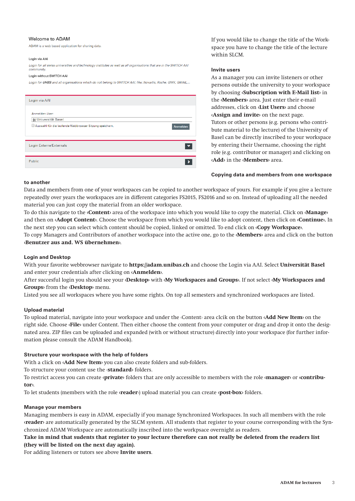#### Welcome to ADAM

ADAM is a web based application for sharing data.

#### Login via AA

Login for all swiss universities and technology institutes as well as all organisations that are in the SWITCH AAI community

#### Login without SWITCH AA

Login for UHBS and all organisations which do not belong to SWITCH AAI, like: Novartis, Roche, GMX, GMAIL,..

| Login via AAI                                          |          |
|--------------------------------------------------------|----------|
| Anmelden über:                                         |          |
| ※ Universität Basel                                    |          |
| Auswahl für die laufende Webbrowser Sitzung speichern. | Anmelden |
| Login Externe/Externals                                |          |
| Public                                                 |          |

If you would like to change the title of the Workspace you have to change the title of the lecture within SLCM.

#### **Invite users**

As a manager you can invite listeners or other persons outside the university to your workspace by choosing **‹Subscription with E-Mail list›** in the **‹Members›** area. Just enter their e-mail addresses, click on **‹List Users›** and choose **‹Assign and invite›** on the next page. Tutors or other persons (e.g. persons who contribute material to the lecture) of the University of Basel can be directly inscribed to your workspace by entering their Username, choosing the right role (e.g. contributor or manager) and clicking on **‹Add›** in the **‹Members›** area.

#### **Copying data and members from one workspace**

#### **to another**

Data and members from one of your workspaces can be copied to another workspace of yours. For example if you give a lecture repeatedly over years the workspaces are in different categories FS2015, FS2016 and so on. Instead of uploading all the needed material you can just copy the material from an older workspace.

To do this navigate to the **‹Content›** area of the workspace into which you would like to copy the material. Click on **‹Manage›**  and then on **‹Adopt Content›**. Choose the workspace from which you would like to adopt content, then click on **‹Continue›.** In the next step you can select which content should be copied, linked or omitted. To end click on **‹Copy Workspace›**.

To copy Managers and Contributors of another workspace into the active one, go to the **‹Members›** area and click on the button **‹Benutzer aus and. WS übernehmen›**.

# **Login and Desktop**

With your favorite webbrowser navigate to **https://adam.unibas.ch** and choose the Login via AAI. Select **Universität Basel** and enter your credentials after clicking on **‹Anmelden›**.

After succesful login you should see your **‹Desktop›** with **‹My Workspaces and Groups›**. If not select **‹My Workspaces and Groups›** from the **‹Desktop›** menu.

Listed you see all workspaces where you have some rights. On top all semesters and synchronized workspaces are listed.

## **Upload material**

To upload material, navigate into your workspace and under the ‹Content› area clcik on the button **‹Add New Item›** on the right side. Choose **‹File›** under Content. Then either choose the content from your computer or drag and drop it onto the designated area. ZIP files can be uploaded and expanded (with or without structure) directly into your workspace (for further information please consult the ADAM Handbook).

# **Structure your workspace with the help of folders**

With a click on **‹Add New Item›** you can also create folders and sub-folders.

To structure your content use the ‹**standard›** folders.

To restrict access you can create **‹private›** folders that are only accessible to members with the role **‹manager›** or **‹contributor›**.

To let students (members with the role **‹reader**›) upload material you can create **‹post-box›** folders.

# **Manage your members**

Managing members is easy in ADAM, especially if you manage Synchronized Workspaces. In such all members with the role **‹reader›** are automatically generated by the SLCM system. All students that register to your course corresponding with the Synchronized ADAM Workspace are automatically inscribed into the workpsace overnight as readers.

# **Take in mind that sudents that register to your lecture therefore can not really be deleted from the readers list (they will be listed on the next day again).**

For adding listeners or tutors see above **Invite users**.